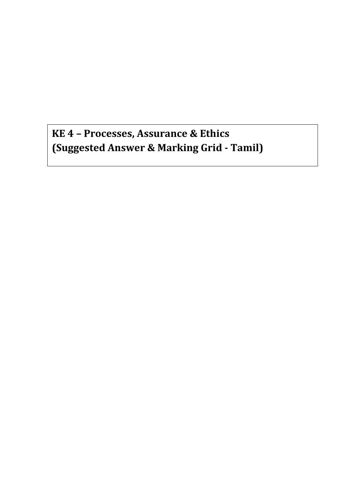**KE 4 – Processes, Assurance & Ethics (Suggested Answer & Marking Grid - Tamil)**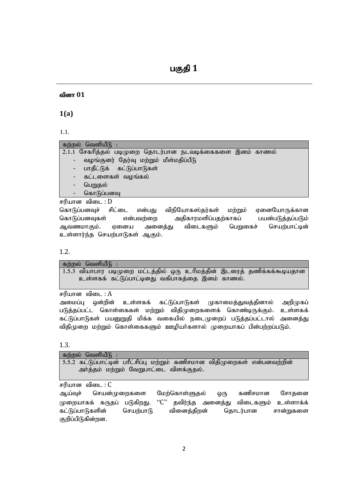# வினா 01

**1(a)**

1.1.

# கற்றல் வெளியீ $f$  :

| 2.1.1 சேகரித்தல் படிமுறை தொடர்பான நடவடிக்கைகளை இனம் காணல் |
|-----------------------------------------------------------|
| - வழங்குனர் தேர்வு மற்றும் மீள்மதிப்பீடு                  |
| - பாதீட்டுக் கட்டுப்பாடுகள்                               |
| - கட்டளைகள் வழங்கல்                                       |
| - பெறுதல்                                                 |
| - கொடுப்பனவு                                              |

சரியான விடை $: D$ 

கொடுப்பனவுச் சிட்டை என்பது விநியோகஸ்தர்கள் மற்றும் ஏனையோருக்கான கொடுப்பனவுகள் என்பவற்றை அதிகாரமளிப்பதற்காகப் பயன்படுத்தப்படும் ஆவணமாகும். ஏனைய அனைத்து விடைகளும் பெறுகைச் செயற்பாட்டின் உள்ளார்ந்த செயற்பாடுகள் ஆகும்.

1.2.

கற்றல் வெளியீ $\mathsf{G}$  : 1.5.3 வியாபார படிமுறை மட்டத்தில் ஒரு உரிமத்தின் இடரைத் தணிக்கக்கூடியதான உள்ளகக் கட்டுப்பாட்டினது வகிபாகத்தை இனம் காணல்.

சரியான விடை $: A$ 

அமைப்பு ஒன்றின் உள்ளகக் கட்டுப்பாடுகள் முகாமைத்துவத்தினால் அறிமுகப் படுத்தப்பட்ட கொள்கைகள் மற்றும் விதிமுறைகளைக் கொண்டிருக்கும். உள்ளகக் கட்டுப்பாடுகள் பயனுறுதி மிக்க வகையில் நடைமுறைப் படுத்தப்பட்டால் அனைத்து விதிமுறை மற்றும் கொள்கைகளும் ஊழியர்களால் முறையாகப் பின்பற்றப்படும்.

# 1.3.

| கற்றல் வெளியீடு :                                                                                                     |  |
|-----------------------------------------------------------------------------------------------------------------------|--|
| 5.5.2 கட்டுப்பாட்டின் பரீட்சிப்பு மற்றும் கணிசமான விதிமுறைகள் என்பனவற்றின்<br>அர்த்தம் மற்றும் வேறுபாட்டை விளக்குதல். |  |

சரியான விடை $: C$ 

ஆய்வுச் செயன்முறைகளை மேற்கொள்ளுதல் ஒரு கணிசமான சோதனை முறையாகக் கருதப் படுகிறது. "C" தவிர்ந்த அனைத்து விடைகளும் உள்ளாக்க் கட்டுப்பாடுகளின் செயற்பாடு வினைத்திறன் தொடர்பான சான்றுகளை குறிப்பிடுகின்றன.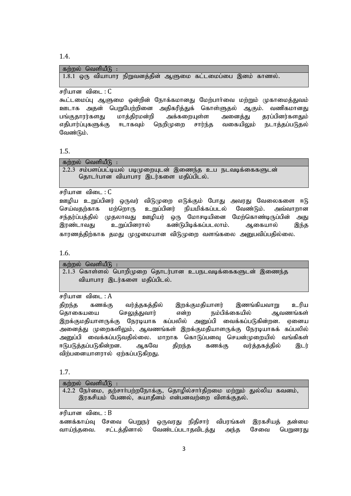1.4.

கற்றல் வெளியீடு :  $1.8.1$  ஒரு வியாபார நிறுவனத்தின் ஆளுமை கட்டமைப்பை இனம் காணல்.

சரியான விடை $: C$ 

கூட்டமைப்பு ஆளுமை ஒன்றின் நோக்கமானது மேற்பார்வை மற்றும் முகாமைத்துவம் ஊடாக அதன் பெறுபேற்றினை அதிகரித்துக் கொள்ளுதல் ஆகும். வணிகமானது பங்குதாரர்களது மாத்திரமன்றி அக்கறையுள்ள அனைத்து தரப்பினர்களதும் எதிபார்ப்புகளுக்கு ஈடாகவும் நெறிமுறை சார்ந்த வகையிலும் நடாத்தப்படுதல் வேண்டும்.

1.5.

கற்றல் வெளியீ $\boldsymbol{\mathsf{G}}$  :

 $2.2.3$  சம்பளப்பட்டியல் படிமுறையுடன் இணைந்த உப நடவடிக்கைகளுடன் தொடர்பான வியாபார இடர்களை மதிப்பிடல்.

சரியான விடை $: C$ 

ஊழிய உறுப்பினர் ஒருவர் விடுமுறை எடுக்கும் போது அவரது வேலைகளை ஈடு செய்வதற்காக மற்றொரு உறுப்பினர் நியமிக்கப்படல் வேண்டும். அவ்வாறான சந்தர்ப்பத்தில் முதலாவது ஊழியர் ஒரு மோசடியினை மேற்கொண்டிருப்பின் அது இரண்டாவது உறுப்பினரால் கண்டுபிடிக்கப்படலாம். ஆகையால் இந்த காரணத்திற்காக தமது முழுமையான விடுமுறை வளங்கலை அனுபவிப்பதில்லை.

1.6.

கற்றல் வெளியீடு  $2.1.3$  கொள்ளல் பொறிமுறை தொடர்பான உபநடவடிக்கைகளுடன் இணைந்த வியாபார இடர்களை மதிப்பிடல்.

சரியான விடை $: A$ 

திறந்த கணக்கு வர்த்தகத்தில் இறக்குமதியாளர் இணங்கியவாறு உரிய தொகையயை செலுத்துவார் என்ற நம்பிக்கையில் ஆவணங்கள் இறக்குமதியாளருக்கு நேரடியாக கப்பலில் அனுப்பி வைக்கப்படுகின்றன. ஏனைய அனைத்து முறைகளிலும், ஆவணங்கள் இறக்குமதியாளருக்கு நேரடியாகக் கப்பலில் அனுப்பி வைக்கப்படுவதில்லை. மாறாக கொடுப்பனவு செயன்முறையில் வங்கிகள் ஈடுபடுத்தப்படுகின்றன. ஆகவே திறந்த கணக்கு வர்த்தகத்தில் இடர் விற்பனையாளாால் எற்கப்படுகிறது.

1.7.

கற்றல் வெளியீடு $:$ 

4.2.2 நேர்மை, தற்சார்பற்றநோக்கு, தொழில்சார்திறமை மற்றும் துல்லிய கவனம், இரகசியம் பேணல், சுயாதீனம் என்பனவற்றை விளக்குதல்.

சரியான விடை :  $B$ 

கணக்காய்வு சேவை பெறுநர் ஒருவரது நிதிசார் விபரங்கள் இரகசியத் தன்மை வாய்ந்தவை. சட்டத்தினால் வேண்டப்படாதவிடத்து அந்த சேவை பெறுனரது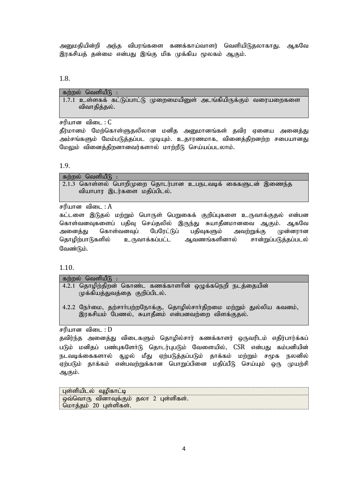அனுமதியின்றி அந்த விபரங்களை கணக்காய்வாளர் வெளியிடுதலாகாது. ஆகவே இரகசியத் தன்மை என்பது இங்கு மிக முக்கிய மூலகம் ஆகும்.

#### 1.8.

| கற்றல் வெளியீடு : |  |                                                                     |  |
|-------------------|--|---------------------------------------------------------------------|--|
|                   |  | 1.7.1 உள்ளகக் கட்டுப்பாட்டு முறைமையினுள் அடங்கியிருக்கும் வரையறைகளை |  |
| விவாதித்தல்.      |  |                                                                     |  |

சரியான விடை $: C$ 

தீர்மானம் மேற்கொள்ளுதலிலான மனித அனுமானங்கள் தவிர ஏனைய அனைத்து அம்சங்களும் மேம்படுத்தப்பட முடியும். உதாரணமாக, வினைத்திறனற்ற சபையானது மேலும் வினைத்திறனானவர்களால் மாற்றீடு செய்யப்படலாம்.

### 1.9.

கற்றல் வெளியீ $f$ ;  $2.1.3$  சொள்ளல் பொறிமுறை கொடர்பான உபநடவடிக் கைகளுடன் இணைந்த வியாபார இடர்களை மதிப்பிடல்.

சரியான விடை :  $A$ 

கட்டளை இடுதல் மற்றும் பொருள் பெறுகைக் குறிப்புகளை உருவாக்குதல் என்பன கொள்வனவுகளைப் பதிவு செய்தலில் இருந்து சுயாதீனமானவை ஆகும். ஆகவே அனைத்து கொள்வனவுப் பேரேட்டுப் பதிவுகளும் அவற்றுக்கு முன்னரான தொழிற்பாடுகளில் உருவாக்கப்பட்ட ஆவணங்களினால் சான்றுப்படுத்தப்படல் வேண்டும்.

1.10.

| கற்றல் வெளியீடு :                                                                          |  |
|--------------------------------------------------------------------------------------------|--|
| 4.2.1 தொழிற்திறன் கொண்ட கணக்காளரின் ஒழுக்கநெறி நடத்தையின்<br>முக்கியத்துவத்தை குறிப்பிடல். |  |

4.2.2 நேர்மை, தற்சார்பற்றநோக்கு, தொழில்சார்திறமை மற்றும் துல்லிய கவனம், இரகசியம் பேணல், சுயாதீனம் என்பனவற்றை விளக்குதல்.

சரியான விடை $: D$ 

தவிர்ந்த அனைத்து விடைகளும் தொழில்சார் கணக்காளர் ஒருவரிடம் எதிர்பார்க்கப் படும் மனிதப் பண்புகளோ்டு தொடர்புபடும் வேளையில், CSR என்பது கம்பனியின் நடவடிக்கைகளால் சூழல் மீது ஏற்படுத்தப்படும் தாக்கம் மற்றும் சமூக நலனில் ஏற்படும் தாக்கம் என்பவற்றுக்கான பொறுப்பினை மதிப்பீடு செய்யும் ஒரு முயற்சி ஆகும்.

புள்ளியிடல் வுழிகாட்டி ஒவ்வொரு வினாவுக்கும் தலா 2 புள்ளிகள். மொத்தம்  $20$  புள்ளிகள்.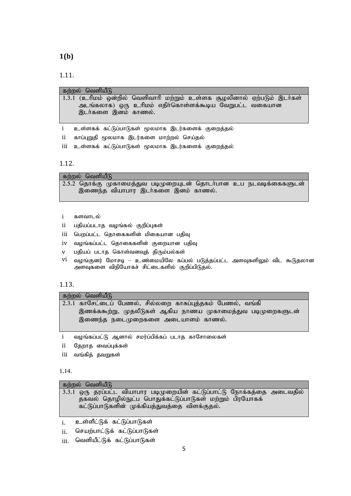**1(b)**

1.11.

|    | கற்றல் வெளியீடு                                                         |
|----|-------------------------------------------------------------------------|
|    | 1.3.1 (உரிமம் ஒன்றில் வெளிவாரி மற்றும் உள்ளக சூழலினால் ஏற்படும் இடர்கள் |
|    | அடங்கலாக) ஒரு உரிமம் எதிர்கொள்ளக்கூடிய வேறுபட்ட வகையான                  |
|    | இடர்களை இனம் காணல்.                                                     |
|    |                                                                         |
|    | உள்ளகக் கட்டுப்பாடுகள் மூலமாக இடர்களைக் குறைத்தல்                       |
| ii | காப்புறுதி மூலமாக இடர்களை மாற்றல் செய்தல்                               |

iii உள்ளகக் கட்டுப்பாடுகள் மூலமாக இடர்களைக் குறைத்தல்

1.12.

கற்றல் வெளியீடு

 $2.5.2$  தொக்கு முகாமைத்துவ படிமுறையுடன் தொடர்பான உப நடவடிக்கைகளுடன் இணைந்த வியாபார இடர்களை இனம் காணல்.

- i களவாடல்
- ii பதியப்படாத வழங்கல் குறிப்புகள்
- iii பெறப்பட்ட தொகைகளின் மிகையான பதிவு
- iv வழங்கப்பட்ட தொகைகளின் குறையான பதிவு
- $v$  பதியப் படாத கொள்வனவுத் திரும்பல்கள்
- $vi$  வழங்குனர் மோசடி உண்மையிலே கப்பல் படுத்தப்பட்ட அளவுகளிலும் விட கூடுதலான அளவுகளை விநியோகச் சிட்டைகளில் குறிப்பிடுதல்.

# 1.13.

 $\overline{\text{adj}}$ றல் வெளியீடு

| 2.3.1 காசேட்டைப் பேணல், சில்லறை காசுப்புத்தகம் பேணல், வங்கி |
|-------------------------------------------------------------|
| இணக்ககூற்று, முதலீடுகள் ஆகிய நாணய முகாமைத்துவ படிமுறைகளுடன் |
| ் இணைந்த நடைமுறைகளை அடையாளம் காணல்.                         |

i வழங்கப்பட்டு ஆனால் சமர்ப்பிக்கப் படாத காசோலைகள்

- ii தேறாத வைப்புக்கள்
- iii வங்கித் தவறுகள்

1.14.

| கற்றல் வெளியீடு                                                                                                                                                                     |
|-------------------------------------------------------------------------------------------------------------------------------------------------------------------------------------|
| 3.3.1 ஒரு தரப்பட்ட வியாபார படிமுறையின் கட்டுப்பாட்டு நோக்கத்தை அடைவதில்<br>தகவல் தொழில்நுட்ப பொதுக்கட்டுப்பாடுகள் மற்றும் பிரயோகக்<br>கட்டுப்பாடுகளின் முக்கியத்துவத்தை விளக்குதல். |
|                                                                                                                                                                                     |

i. உள்ளீட்டுக் கட்டுப்பாடுகள்

ii. செயற்பாட்டுக் கட்டுப்பாடுகள்

iii. வெளியீட்டுக் கட்டுப்பாடுகள்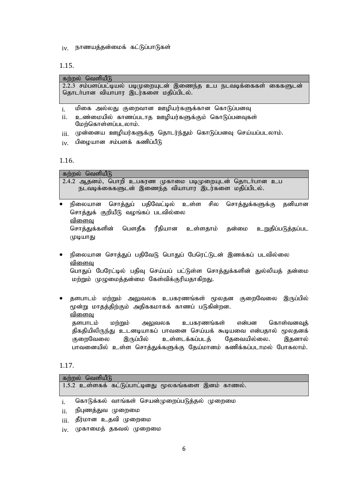iv. நாணயத்தன்மைக் கட்டுப்பாடுகள்

1.15.

| கற்றல் வெளியீடு                      |                                                                      |  |
|--------------------------------------|----------------------------------------------------------------------|--|
| தொடா்பான வியாபார இடர்களை மதிப்பிடல். | $2.2.3$ சம்பளப்பட்டியல் படிமுறையுடன் இணைந்த உப நடவடிக்கைகள் கைகளுடன் |  |

- i. மிகை அல்லது குறைவான ஊழியர்களுக்கான கொடுப்பனவு
- ii. உண்மையில் காணப்படாத ஊழியர்களுக்கும் கொடுப்பனவுகள் மேற்கொள்ளப்படலாம்.
- iii. முன்னைய ஊழியர்களுக்கு தொடர்ந்தும் கொடுப்பனவு செய்யப்படலாம்.
- $iv$ . பிழையான சம்பளக் கணிப்பீடு

1.16.

| கற்றல் வெளியீடு |                                    |  |                                                              |  |
|-----------------|------------------------------------|--|--------------------------------------------------------------|--|
|                 |                                    |  | 2.4.2 ஆதனம், பொறி உபகரண முகாமை படிமுறையுடன் தொடா்பான உப      |  |
|                 |                                    |  | நடவடிக்கைகளுடன் இணைந்த வியாபார இடர்களை மதிப்பிடல்.           |  |
|                 |                                    |  |                                                              |  |
| $\bullet$       |                                    |  | நிலையான சொத்துப் பதிவேட்டில் உள்ள சில சொத்துக்களுக்கு தனியான |  |
|                 | சொத்துக் குறியீடு வழங்கப் படவில்லை |  |                                                              |  |
| <u>விளைவு</u>   |                                    |  |                                                              |  |

சொத்துக்களின் பௌதீக ரீதியான உள்ளதாம் தன்மை உறுதிப்படுத்தப்பட முடியாது

- நிலையான சொத்துப் பதிவேடு பொதுப் பேரெட்டுடன் இணக்கப் படவில்லை <u>விளைவ</u> பொதுப் பேரேட்டில் பதிவு செய்யப் பட்டுள்ள சொத்துக்களின் துல்லியத் தன்மை மற்றும் முழுமைத்தன்மை கேள்விக்குரியதாகிறது.
- தளபாடம் மற்றும் அலுவலக உபகரணங்கள் மூலதன குறைவேலை இருப்பில் மூன்று மாதத்திற்கும் அதிககமாகக் காணப் படுகின்றன. <u>விளைவ</u> தளபாடம் மற்றும் அலுவலக உபகரணங்கள் என்பன கொள்வனவுக்

திகதியிலிருந்து உடனடியாகப் பாவனை செய்யக் கூடியவை என்பதால் மூலதனக் குறைவேலை இருப்பில் உள்ளடக்கப்படக் கேவையில்லை. இதனால் பாவனையில் உள்ள சொத்துக்களுக்கு தேய்மானம் கணிக்கப்படாமல் போகலாம்.

1.17.

| கற்றல் வெளியீடு                                      |
|------------------------------------------------------|
| 1.5.2 உள்ளகக் கட்டுப்பாட்டினது மூலகங்களை இனம் காணல். |
|                                                      |
| கொடுக்கல் வாங்கள் செயன்முறைப்படுத்தல் முறைமை<br>i.   |
| நிபுணத்துவ முறைமை<br>ii.                             |
| <sub>iii.</sub> தீர்மான உதவி முறைமை                  |
| முகாமைத் தகவல் முறைமை<br>iv.                         |
|                                                      |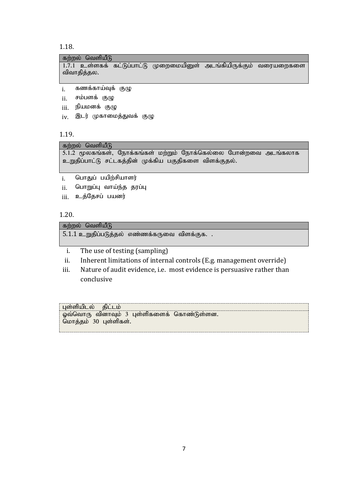1.18.

## கற்றல் வெளியீடு

 $1.7.1$  உள்ளகக் கட்டுப்பாட்டு முறைமையினுள் அடங்கியிருக்கும் வரையறைகளை விவாதித்தல. 

- i. கணக்காய்வுக் குழு
- $ii$ . சம்பளக் குழு
- iii. நியமனக் குழு
- iv. இடர் முகாமைத்துவக் குழு

1.19.

கற்றல் வெளியீடு

 $5.1.2$  மூலகங்கள், நோக்கங்கள் மற்றும் நோக்கெல்லை போன்றவை அடங்கலாக உறுதிப்பாட்டு சட்டகத்தின் முக்கிய பகுதிகளை விளக்குதல்.

<sub>i.</sub> பொதுப் பயிற்சியாளர்

- $ii$ . பொறுப்பு வாய்ந்த தரப்பு
- iii. உத்தேசப் பயனர்

1.20.

 $\overline{a}$ ற்றல் வெளியீடு

 $5.1.1$  உறுதிப்படுத்தல் எண்ணக்கருவை விளக்குக..

- i. The use of testing (sampling)
- ii. Inherent limitations of internal controls (E.g. management override)
- iii. Nature of audit evidence, i.e. most evidence is persuasive rather than conclusive

| ் பள்ளியிடல்<br>asli i in                    |  |
|----------------------------------------------|--|
| ் ஓவ்வொரு வினாவும் 3 புள்ளிகளைக் கொண்டுள்ளன. |  |
| ்மொத்தம் 30 புள்ளிகள்.                       |  |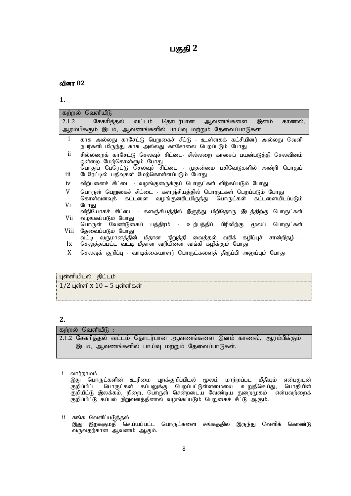## வினா 02

# **1.**

| கற்றல் வெளியீடு                                                                                                                                                                |
|--------------------------------------------------------------------------------------------------------------------------------------------------------------------------------|
| சேகரித்தல் வட்டம் தொடர்பான ஆவணங்களை இனம் காணல்,<br>2.1.2                                                                                                                       |
| ஆரம்பிக்கும் இடம், ஆவணங்களில் பாய்வு மற்றும் தேவைப்பாடுகள்                                                                                                                     |
| i<br>காசு அல்லது காசேட்டு பெறுகைச் சீட்டு - உள்ளகக் கட்சியினர் அல்லது வெளி<br>நபர்களிடமிருந்து காசு அல்லது காசோலை பெறப்படும் போது                                              |
| ii.<br>சில்லறைக் காசேட்டு செலவுச் சிட்டை- சில்லறை காசைப் பயன்படுத்தி செலவினம்<br>ஒன்றை மேற்கொள்ளும் போது<br>பொதுப் பேரெட்டு செலவுச் சிட்டை - முதன்மை பதிவேடுகளில் அன்றி பொதுப் |
| iii<br>பேரேட்டில் பதிவுகள் மேற்கொள்ளப்படும் போது                                                                                                                               |
| விற்பனைச் சிட்டை - வழங்குனருக்குப் பொருட்கள் விற்கப்படும் போது<br>iv                                                                                                           |
| V<br>பொருள் பெறுகைச் சிட்டை - களஞ்சியத்தில் பொருட்கள் பெறப்படும் போது<br>கொள்வனவுக் கட்டளை வழங்குனரிடமிருந்து பொருட்கள் கட்டளையிடப்படும்                                       |
| Vi<br>போது                                                                                                                                                                     |
| விநியோகச் சிட்டை - களஞ்சியத்தில் இருந்து பிறிதொரு இடத்திற்கு பொருட்கள்<br>Vii<br>வழங்கப்படும் போது<br>பொருள் வேண்டுகைப் பத்திரம் - உற்பத்திப் பிரிவிற்கு மூலப் பொருட்கள்       |
| Viii<br>தேவைப்படும் போது                                                                                                                                                       |
| வட்டி வருமானத்தின் மீதான நிறுத்தி வைத்தல் வரிக் கழிப்புச் சான்றிதழ் -<br>செலுத்தப்பட்ட வட்டி மீதான வரியினை வங்கி கழிக்கும் போது<br>$\mathbf{I}$                                |
| X.<br>செலவுக் குறிப்பு - வாடிக்கையாளர் பொருட்களைத் திருப்பி அனுப்பும் போது                                                                                                     |

# புள்ளியிடல் திட்டம்

 $1/2$  புள்ளி х  $10 = 5$  புள்ளிகள்

# **2.**

# கற்றல் வெளியீ $\mathbf{\mathfrak{G}}$  :

2.1.2 சேகரித்தல் வட்டம் தொடர்பான ஆவணங்களை இனம் காணல், ஆரம்பிக்கும் இடம், ஆவணங்களில் பாய்வு மற்றும் தேவைப்பாடுகள்.

i வார்நாமம்

இது பொருட்களின் உரிமை புறக்குறிப்பிடல் மூலம் மாற்றப்பட மீதியும் என்பதுடன்<br>குறிப்பிட்ட பொருட்கள் கப்பலுக்கு பெறப்பட்டுள்ளமையை உறுதிசெய்து, பொதியின் குறிப்பிட்ட பொருட்கள் கப்பலுக்கு பெறப்பட்டுள்ளமையை உறுதிசெய்து, பொதியின் குறியீட்டு இலக்கம், நிறை, பொருள் சென்றடைய வேண்டிய துறைமுகம் என்பவற்றைக் குறிப்பிட்டு கப்பல் நிறுவனத்தினால் வழங்கப்படும் பெறுகைச் சீட்டு ஆகும்.

ii சுங்க வெளிப்படுத்தல் இது இறக்குமதி செய்யப்பட்ட பொருட்களை சுங்கததில் இருந்து வெளிக் கொண்டு வருவதற்கான ஆவணம் ஆகும்.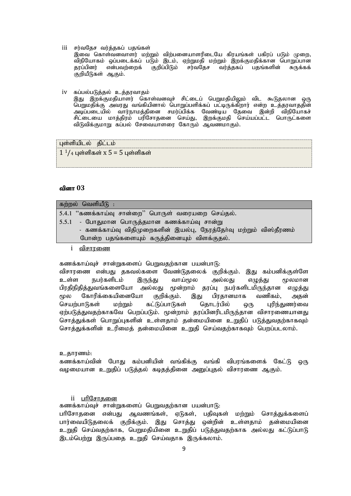iii சர்வதேச வர்த்தகப் பதங்கள்

இவை கொள்வனவாளர் மற்றும் விற்பனையாளரிடையே கிரயங்கள் பகிரப் படும் முறை, விநியோகம் ஒப்படைக்கப் படும் இடம், ஏற்றுமதி மற்றும் இறக்குமதிக்கான பொறுப்பான<br>தரப்பினர் என்பவற்றைக் குறிப்பிடும் சர்வதேச வர்த்தகப் பதங்களின் சுருக்கக் என்பவற்றைக் குறிப்பிடும் .<br>குறியீடுகள் ஆகும்.

iv கப்பல்படுத்தல் உத்தரவாதம் ...<br>இது இறக்குமதியாளர் கொள்வனவுச் சிட்டைப் பெறுமதியிலும் விட கூடுதலான ஒரு <u>பெறுமதிக்கு</u> அவரது வங்கியினால் பொறுப்பளிக்கப் பட்டிருக்கிறார் என்ற உத்தரவாததின் அடிப்படையில் வார்நாமத்தினை சமர்ப்பிக்க வேண்டிய தேவை இன்றி விநியோகச் சிட்டையை மாத்திரம் பரிசோதனை செய்து, இறக்குமதி செய்யப்பட்ட பொருட்களை விடுவிக்குமாறு கப்பல் சேவையாளரை கோரும் ஆவணமாகும்.

புள்ளியிடல் திட்டம்  $1^{1}/_{4}$  புள்ளிகள் x 5 = 5 புள்ளிகள்

### வினா 03

| கற்றல் வெளியீடு :                                                |
|------------------------------------------------------------------|
| 5.4.1 "கணக்காய்வு சான்றை" பொருள் வரையறை செய்தல்.                 |
| 5.5.1 - போதுமான பொருத்தமான கணக்காய்வு சான்று                     |
| - கணக்காய்வு விதிமுறைகளின் இயல்பு, நேரத்தோ்வு மற்றும் விஸ்தீரணம் |
| போன்ற பதங்களையும் கருத்தினையும் விளக்குதல்.                      |
|                                                                  |

i <del>வி</del>சாாணை

கணக்காய்வுச் சான்றுகளைப் பெறுவதற்கான பயன்பாடு:

விசாரணை என்பது தகவல்களை வேண்டுதலைக் குறிக்கும். இது கம்பனிக்குள்ளே உள்ள நபர்களிடம் இருந்து வாய்மூல அல்லது எழுத்து மூலமான பிரதிநிதித்துவங்களையோ அல்லது மூன்றாம் தரப்பு நபர்களிடமிருந்தான எழுத்து மூல கோரிக்கையினையோ குறிக்கும். இது பிரதானமாக வணிகம், அதன் செயற்பாடுகள் மற்றும் கட்டுப்பாடுகள் தொடர்பில் ஒரு புரிந்துணர்வை ஏற்படுத்துவதற்காகவே பெறப்படும். மூன்றாம் தரப்பினரிடமிருந்தான விசாரணையானது சொத்துக்கள் பொறுப்புகளின் உள்ளதாம் தன்மையினை உறுதிப் படுத்துவதற்காகவும் சொத்துக்களின் உரிமைத் தன்மையினை உறுதி செய்வதற்காகவும் பெறப்படலாம்.

உதாரணம்:

கணக்காய்வின் போது கம்பனியின் வங்கிக்கு வங்கி விபரங்களைக் கேட்டு ஒரு வழமையான உறுதிப் படுத்தல் கடிதத்தினை அனுப்புதல் விசாரணை ஆகும்.

#### ii பரிசோகனை

கணக்காய்வுச் சான்றுகளைப் பெறுவதற்கான பயன்பாடு:

பரிசோதனை என்பது ஆவணங்கள், ஏடுகள், பதிவுகள் மற்றும் சொத்துக்களைப் பார்வையிடுதலைக் குறிக்கும். இது சொத்து ஒன்றின் உள்ளதாம் தன்மையினை உறுதி செய்வதற்காக, பெறுமதியினை உறுதிப் படுத்துவதற்காக அல்லது கட்டுப்பாடு இடம்பெற்று இருப்பதை உறுதி செய்வதாக இருக்கலாம்.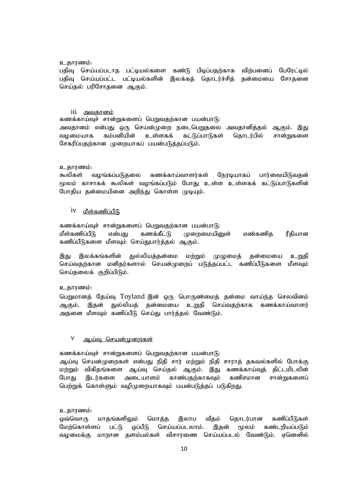#### உதாரணம்:

பதிவு செய்யப்படாத பட்டியல்களை கண்டு பிடிப்பதற்காக விற்பனைப் பேரேட்டில் பதிவு செய்யப்பட்ட பட்டியல்களின் இலக்கத் தொடர்ச்சித் தன்மையை சோதனை செய்தல் பரிசோதனை ஆகும்.

#### iii அவகானம்

கணக்காய்வுச் சான்றுகளைப் பெறுவதற்கான பயன்பாடு: அவதானம் என்பது ஒரு செயன்முறை நடைபெறுதலை அவதானித்தல் ஆகும். இது வழமையாக கம்பனியின் உள்ளகக் கட்டுப்பாடுகள் தொடர்பில் சான்றுகளை சேகரிப்பதற்கான முறையாகப் பயன்படுத்தப்படும்.

#### உதாரணம்:

கூலிகள் வழங்கப்படுதலை கணக்காய்வாளர்கள் நேரடியாகப் பார்வையிடுவதன் மூலம் காசாகக் கூலிகள் வழங்கப்படும் போது உள்ள உள்ளகக் கட்டுப்பாடுகளின் போதிய தன்மையினை அறிந்து கொள்ள முடியும்.

# $iv$  மீள்கணிப்பீடு

கணக்காய்வுச் சான்றுகளைப் பெறுவதற்கான பயன்பாடு: மீள்கணிப்பீடு என்பது கணக்கீட்டு முறைமையினுள் எண்கணித ரீதியான கணிப்பீடுகளை மீளவும் செய்துபார்த்தல் ஆகும்.

இது இலக்கங்களின் துல்லியத்தன்மை மற்றும் முமுறைமக் தன்மையை உறுதி செய்வதற்கான மனிதர்களால் செயன்முறைப் படுத்தப்பட்ட கணிப்பீடுகளை மீளவும் செய்தலைக் குறிப்பிடும்.

### உகாாணம்:

பெறுமானத் தேய்வு Toyland இன் ஒரு பொருண்மைத் தன்மை வாய்ந்த செலவினம் ஆகும். இதன் துல்லியத் தன்மையை உறுதி செய்வதற்காக கணக்காய்வாளர் அதனை மீளவும் கணிப்பீடு செய்து பார்த்தல் வேண்டும்.

# $V$  ஆய்வு செயன்முறைகள்

கணக்காய்வுச் சான்றுகளைப் பெறுவதற்கான பயன்பாடு:

ஆய்வு செயன்முறைகள் என்பது நிதி சார் மற்றும் நிதி சாராத் தகவல்களில் போக்கு மற்றும் விகிதங்களை ஆய்வு செய்தல் ஆகும். இது கணக்காய்வுத் திட்டமிடலின் போது இடர்களை அடையாளம் காண்பதற்காகவும் கணிசமான சான்றுகளைப் பெற்றுக் கொள்ளும் வழிமுறையாகவும் பயன்படுத்தப் படுகிறது.

#### உதாரணம்:

ஒவ்வொரு மாதங்களிலும் மொத்த இலாப வீதம் தொடர்பான கணிப்பீடுகள் மேற்கொள்ளப் பட்டு ஒப்பீடு செய்யப்படலாம். இதன் மூலம் கண்டறியப்படும் வழமைக்கு மாறான தளம்பல்கள் விசாரணை செய்யப்படல் வேண்டும். ஏனெனில்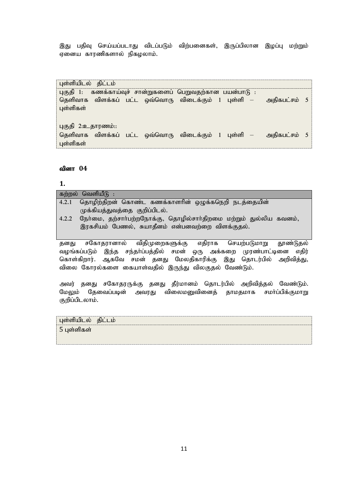இது பதிவு செய்யப்படாது விடப்படும் விற்பனைகள், இருப்பிலான இழப்பு மற்றும் ஏனைய காரணிகளால் நிகழலாம்.

புள்ளியிடல் திட்டம் . .<br>புகுதி 1: கணக்காய்வுச் சான்றுகளைப் பெறுவதற்கான பயன்பாடு : தெளிவாக விளக்கப் பட்ட ஒவ்வொரு விடைக்கும் 1 புள்ளி — அதிகபட்சம் 5 புள்ளிகள் புகுதி 2:உதாரணம்:: தெளிவாக விளக்கப் பட்ட ஒவ்வொரு விடைக்கும் 1 புள்ளி – அதிகபட்சம் 5 புள்ளிகள்

# வினா 04

குறிப்பிடலாம்.

# **1.**

|                                                      | கற்றல் வெளியீடு :                                                     |  |
|------------------------------------------------------|-----------------------------------------------------------------------|--|
| 4.2.1                                                | தொழிற்திறன் கொண்ட கணக்காளரின் ஒழுக்கநெறி நடத்தையின்                   |  |
|                                                      | முக்கியத்துவத்தை குறிப்பிடல்.                                         |  |
| 4.2.2                                                | நேர்மை, தற்சார்பற்றநோக்கு, தொழில்சார்திறமை மற்றும் துல்லிய கவனம்,     |  |
|                                                      | இரகசியம் பேணல், சுயாதீனம் என்பனவற்றை விளக்குதல்.                      |  |
|                                                      |                                                                       |  |
| தனது                                                 | சகோதரானால் விதிமுறைகளுக்கு எதிராக செயற்படுமாறு தூண்டுதல்              |  |
|                                                      | வழங்கப்படும் இந்த சந்தா்ப்பத்தில் சமன் ஒரு அக்கறை முரண்பாட்டினை எதிர் |  |
|                                                      | கொள்கிறார். ஆகவே சமன் தனது மேலதிகாரிக்கு இது தொடர்பில் அறிவித்து,     |  |
| விலை கோரல்களை கையாள்வதில் இருந்து விலகுதல் வேண்டும். |                                                                       |  |
|                                                      |                                                                       |  |
| அவர்                                                 | தனது சகோதரருக்கு தனது தீர்மானம் தொடர்பில் அறிவித்தல் வேண்டும்.        |  |
|                                                      | மேலும் தேவைப்படின் அவரது விலைமனுவினைத் தாமதமாக சமா்ப்பிக்குமாறு       |  |

| புள்ளியிடல் திட்டம் |  |
|---------------------|--|
| 5 புள்ளிகள்         |  |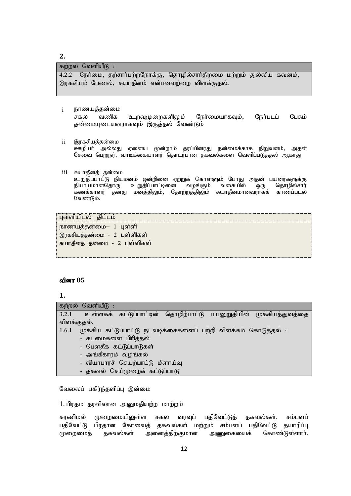# **2.**

#### கற்றல் வெளியீ $\mathsf G$  :

4.2.2 நேர்மை, தற்சார்பற்றநோக்கு, தொழில்சார்திறமை மற்றும் துல்லிய கவனம், இரகசியம் பேணல், சுயாதீனம் என்பனவற்றை விளக்குதல்.

 $i$  நாணயத்தன்மை

சகல வணிக உறவுமுறைகளிலும் நேர்மையாகவும், நேர்படப் பேசும் தன்மையுடையவராகவும் இருத்தல் வேண்டும்

- ii இரகசியத்தன்மை ஊழியா் அல்லது ஏனைய மூன்றாம் தரப்பினரது நன்மைக்காக நிறுவனம், அதன் சேவை பெறுநர், வாடிக்கையாளர் தொடர்பான தகவல்களை வெளிப்படுத்தல் ஆகாது
- iii சுயாதீனத் தன்மை

உறுதிப்பாட்டு நியமனம் ஒன்றினை ஏற்றுக் கொள்ளும் போது அதன் பயன்ர்களுக்கு<br>நியாயமானதொரு உறுதிப்பாட்டினை வழங்கும் வகையில் ஒரு தொழில்சார் நியாயமானதொரு உறுதிப்பாட்டினை .<br>கணக்காளர் தனது மனத்திலும், தோற்றத்திலும் சுயாதீனமானவராகக் காணப்படல் வேண்டும்.

புள்ளியிடல் திட்டம்

 $B$ ாணயத்தன்மை $-$  1 புள்ளி இரகசியத்தன்மை - 2 புள்ளிகள் சுயாதீனத் தன்மை - 2 புள்ளிகள்

### வினா 05

### **1.**

|             | கற்றல் வெளியீடு :                                                  |  |  |  |
|-------------|--------------------------------------------------------------------|--|--|--|
| 3.2.1       | உள்ளகக் கட்டுப்பாட்டின் தொழிற்பாட்டு பயனுறுதியின் முக்கியத்துவத்தை |  |  |  |
| விளக்குதல். |                                                                    |  |  |  |
| 1.6.1       | முக்கிய கட்டுப்பாட்டு நடவடிக்கைகளைப் பற்றி விளக்கம் கொடுத்தல் :    |  |  |  |
|             | - கடமைகளை பிரித்தல்                                                |  |  |  |
|             | - பௌதீக கட்டுப்பாடுகள்                                             |  |  |  |
|             | - அங்கீகாரம் வழங்கல்                                               |  |  |  |
|             | - வியாபாரச் செயற்பாட்டு மீளாய்வு                                   |  |  |  |
|             | - தகவல் செய்முறைக் கட்டுப்பாடு                                     |  |  |  |

வேலைப் பகிர்ந்தளிப்பு இன்மை

1. பிரதம தரவிலான அனுமதியற்ற மாற்றம்

சுரணிமல் முறைமையிலுள்ள சகல வரவுப் பதிவேட்டுத் தகவல்கள், சம்பளப் பதிவேட்டு பிரதான கோவைத் தகவல்கள் மற்றும் சம்பளப் பதிவேட்டு தயாரிப்பு முறைமைத் தகவல்கள் அனைத்திற்குமான அணுகையைக் கொண்டுள்ளார்.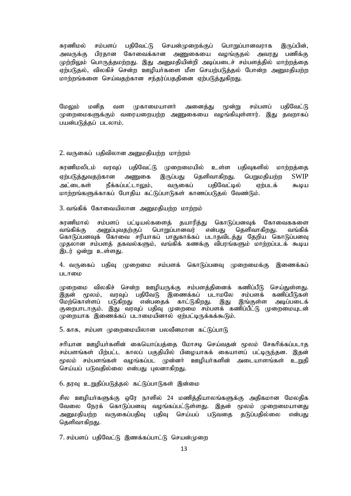சுரணிமல் சம்பளப் பதிவேட்டு செயன்முறைக்குப் பொறுப்பானவராக இருப்பின், அவருக்கு பிரதான கோவைக்கான அணுகையை வழங்குதல் அவரது பணிக்கு முற்றிலும் பொருத்தமற்றது. இது அனுமதியின்றி அடிப்படைச் சம்பளத்தில் மாற்றத்தை ஏற்படுதல், விலகிச் சென்ற ஊழியர்களை மீள செயற்படுத்தல் போன்ற அனுமதியற்ற மாற்றங்களை செய்வதற்கான சந்தர்ப்பததினை ஏற்படுத்துகிறது.

மேலும் மனித வள முகாமையாளா் அனைத்து மூன்று சம்பளப் பதிவேட்டு முறைமைகளுக்கும் வரையறையற்ற அணுகையை வழங்கியுள்ளார். இது தவறாகப் பயன்படுத்தப் படலாம்.

#### 2. வருகைப் பதிவிலான அறுமதியற்ற மாற்றம்

சுரணிமலிடம் வரவுப் பதிவேட்டு முறைமையில் உள்ள பதிவுகளில் மாற்றத்தை ஏற்படுத்துவதற்கான அணுகை இருப்பது தெளிவாகிறது. பெறுமதியற்ற  $\text{SWIP}$ அட்டைகள் நீக்கப்பட்டாலும், வருகைப் பகிவேட்டில் ஏற்படக் கூடிய மாற்றங்களுக்காகப் போதிய கட்டுப்பாடுகள் காணப்படுதல் வேண்டும்.

3. வங்கிக் கோவையிலான அனுமதியற்ற மாற்றம்

சுரணிமால் சம்பளப் பட்டியல்களைத் தயாரித்து கொடுப்பனவுக் கோவைககளை<br>வங்கிக்கு அனுப்புவதற்குப் பொறுப்பானவர் என்பது தெளிவாகிறது. வங்கிக் என்பகு கெளிவாகிறது. கொடுப்பனவுக் கோவை சரியாகப் பாதுகாக்கப் படாதவிடத்து கேறிய கொடுப்பனவு முதலான சம்பளத் தகவல்களும், வங்கிக் கணக்கு விபரங்களும் மாற்றப்படக் கூடிய இடர் ஒன்று உள்ளது.

4. வருகைப் பதிவு முறைமை சம்பளக் கொடுப்பனவு முறைமைக்கு இணைக்கப் படாமை

முறைமை விலகிச் சென்ற ஊழியருக்கு சம்பளத்தினைக் கணிப்பீடு செய்துள்ளது.<br>இதன் மூலம், வரவுப் பதிவேடு இணைக்கப் படாமலே சம்பளக் கணிப்பீடுகள் இதன் மூலம், வரவுப் பதிவேடு இணைக்கப் படாமலே சம்பளக் மேற்கொள்ளப் படுகிறது என்பதைக் காட்டுகிறது. இது இங்குள்ள அடிப்படைக் குறைபாடாகும். இது வரவுப் பதிவு முறைமை சம்பளக் கணிப்பீட்டு முறைமையுடன் முறையாக இணைக்கப் படாமையினால் ஏற்பட்டிருக்கக்கூடும்.

5. காசு, சம்பள முறைமையிலான பலவீனமான கட்டுப்பாடு

சரியான ஊழியா்களின் கையொப்பத்தை மோசடி செய்வதன் மூலம் சேகரிக்கப்படாத சம்பளங்கள் பிற்பட்ட காலப் பகுகியில் பிமையாகக் கையாளப் பட்டிருந்கன. இகன் மூலம் சம்பளங்கள் வழங்கப்பட முன்னா் ஊழியா்களின் அடையாளங்கள் உறுதி செய்யப் படுவதில்லை என்பது புலனாகிறது.

6. தரவு உறுதிப்படுத்தல் கட்டுப்பாடுகள் இன்மை

சில ஊமியா்களுக்கு ஒரே நாளில் 24 மணித்தியாலங்களுக்கு அதிகமான மேலதிக வேலை நேரக் கொடுப்பனவு வழங்கப்பட்டுள்ளது. இதன் மூலம் முறைமையானது அனுமதியற்ற வருகைப்பதிவு பதிவு செய்யப் படுவதை தடுப்பதில்லை என்பது தெளிவாகிறது.

7. சம்பளப் பகிவேட்டு இணக்கப்பாட்டு செயன்முறை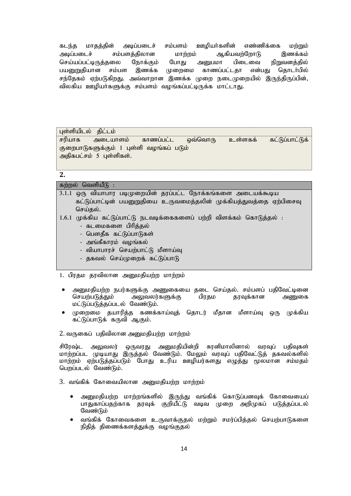கடந்த மாதத்தின் அடிப்படைச் சம்பளம் ஊழியர்களின் எண்ணிக்கை மற்றும் அடிப்படைச் சம்பளத்திலான மாற்றம் ஆகியவற்றோடு இணக்கம்<br>செய்யப்பட்டிருத்தலை நோக்கும் போது அபைமா பிடைவை நிறுவனக்கில் செய்யப்பட்டிருக்கலை நோக்கும் போகு அபைமா பிடைவை நிறுவனக்கில் பயனுறுதியான சம்பள இணக்க முறைமை காணப்பட்டதா என்பது தொடர்பில் சந்தேகம் ஏற்படுகிறது. அவ்வாறான இணக்க முறை நடைமுறையில் இருந்திருப்பின், விலகிய ஊழியா்களுக்கு சம்பளம் வழங்கப்பட்டிருக்க மாட்டாது.

புள்ளியிடல் திட்டம் சரியாக அடையாளம் காணப்பட்ட ஒவ்வொரு உள்ளகக் கட்டுப்பாட்டுக் குறைபாடுகளுக்கும் 1 புள்ளி வழங்கப் படும் அதிகபட்சம் 5 புள்ளிகள்.

#### **2.**

### கற்றல் வெளியீடு

| 3.1.1 ஒரு வியாபார படிமுறையின் தரப்பட்ட நோக்கங்களை அடையக்கூடிய         |
|-----------------------------------------------------------------------|
| கட்டுப்பாட்டின் பயனுறுதியை உருவமைத்தலின் முக்கியத்துவத்தை ஏற்பிசைவு   |
| செய்தல்.                                                              |
| 1.6.1 முக்கிய கட்டுப்பாட்டு நடவடிக்கைகளைப் பற்றி விளக்கம் கொடுத்தல் : |
| - கடமைகளை பிரித்தல்                                                   |
| - பௌதீக கட்டுப்பாடுகள்                                                |
| - அங்கீகாரம் வழங்கல்                                                  |
| - வியாபாரச் செயற்பாட்டு மீளாய்வு                                      |
| - தகவல் செய்முறைக் கட்டுப்பாடு                                        |

- 1. பிரதம தரவிலான அனுமதியற்ற மாற்றம்
- அனுமதியற்ற நபர்களுக்கு அணுகையை தடை செய்தல். சம்பளப் பதிவேட்டினை<br>செயற்படுத்தும் அலுவலர்களுக்கு பிரதம தரவுக்கான அணுகை அலுவலர்களுக்கு பிரதம தரவுக்கான அணுகை மட்டுப்படுத்தப்படல் வேண்டும்.
- முறைமை தயாரித்த கணக்காய்வுத் தொடர் மீதான மீளாய்வு ஒரு முக்கிய கட்டுப்பாடுக் கருவி ஆகும்.

2. வருகைப் பகிவிலான அமைகியற்ற மாற்றம்

சிரேஷ்ட அலுவலர் ஒருவரது அனுமதியின்றி சுரனிமாலினால் வரவுப் பதிவுகள் மாற்றப்பட முடியாது இருத்தல் வேண்டும். மேலும் வரவுப் பதிவேட்டுத் தகவல்களில் மாற்றம் ஏற்படுத்தப்படும் போது உரிய ஊழியர்களது எழுத்து மூலமான சம்மதம் பெறப்படல் வேண்டும்.

- 3. வங்கிக் கோவையிலான அனுமதியற்ற மாற்றம்
	- அனுமதியற்ற மாற்றங்களில் இருந்து வங்கிக் கொடுப்பனவுக் கோவையைப் பாதுகாப்பதற்காக தரவுக் குறியீட்டு வடிவ முறை அறிமுகப் படுத்தப்படல் வேண்டும்
	- வங்கிக் கோவைகளை உருவாக்குதல் மற்றும் சமர்ப்பித்தல் செயற்பாடுகளை நிதித் திணைக்களத்துக்கு வழங்குதல்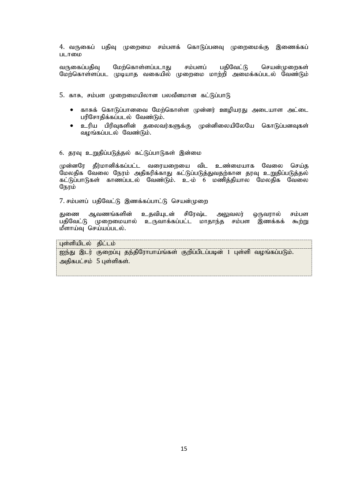4. வருகைப் பதிவு முறைமை சம்பளக் கொடுப்பனவு முறைமைக்கு இணைக்கப் படாமை

வருகைப்பதிவு மேற்கொள்ளப்படாது சம்பளப் பதிவேட்டு செயன்முறைகள் மேற்கொள்ளப்பட முடியாத வகையில் முறைமை மாற்றி அமைக்கப்படல் வேண்டும்

 $5.$  காசு, சம்பள முறைமையிலான பலவீனமான கட்டுப்பாடு

- ் காசுக் கொடுப்பானவை மேற்கொள்ள முன்னர் ஊழியரது அடையாள அட்டை பரிசோதிக்கப்படல் வேண்டும்.
- உரிய பிரிவுகளின் தலைவர்களுக்கு முன்னிலையிலேயே கொடுப்பனவுகள் வழங்கப்படல் வேண்டும்.
- 6. தரவு உறுதிப்படுத்தல் கட்டுப்பாடுகள் இன்மை

முன்னரே தீர்மானிக்கப்பட்ட வரையறையை விட உண்மையாக வேலை செய்த மேலதிக வேலை நேரம் அதிகரிக்காது கட்டுப்படுத்துவதற்கான தரவு உறுதிப்படுத்தல் கட்டுப்பாடுகள் காணப்படல் வேண்டும். உ-ம் 6 மணித்தியால மேலதிக வேலை நேரம்

7. சம்பளப் பதிவேட்டு இணக்கப்பாட்டு செயன்முறை

துணை ஆவணங்களின் உதவியுடன் சிரேஷ்ட அலுவலர் ஒருவரால் சம்பள<br>பதிவேட்டு முறைமையால் உருவாக்கப்பட்ட மாதாந்த சம்பள இணக்கக் கூற்று முறைமையால் உருவாக்கப்பட்ட மாதாந்த சம்பள இணக்கக் கூற்று  $\vec{B}$ ளாய்வு செய்யப்படல்.

### புள்ளியிடல் திட்டம்

ஐந்து இடர் குறைப்பு தந்திரோபாய்ங்கள் குறிப்பிடப்படின் 1 புள்ளி வழங்கப்படும். அதிகபட்சம் 5 புள்ளிகள்.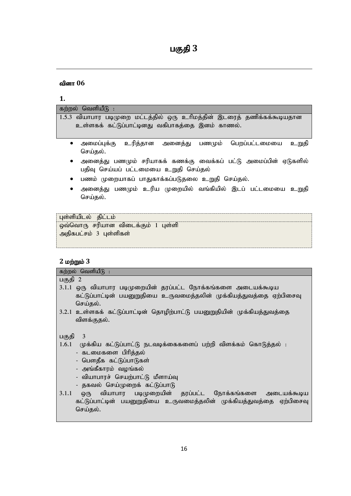| பகுதி |  |
|-------|--|
|-------|--|

# வினா 06

# **1.**

| கற்றல் வெளியீடு :                                                                                                    |  |  |
|----------------------------------------------------------------------------------------------------------------------|--|--|
| 1.5.3 வியாபார படிமுறை மட்டத்தில் ஒரு உரிமத்தின் இடரைத் தணிக்கக்கூடியதான                                              |  |  |
| உள்ளகக் கட்டுப்பாட்டினது வகிபாகத்தை இனம் காணல்.                                                                      |  |  |
|                                                                                                                      |  |  |
| அமைப்புக்கு உரித்தான அனைத்து பணமும் பெறப்பட்டமையை<br>உறுதி<br>செய்தல்.                                               |  |  |
| அனைத்து பணமும் சரியாகக் கணக்கு வைக்கப் பட்டு அமைப்பின் ஏடுகளில்<br>$\bullet$<br>பதிவு செய்யப் பட்டமையை உறுதி செய்தல் |  |  |
| பணம் முறையாகப் பாதுகாக்கப்படுதலை உறுதி செய்தல்.<br>٠                                                                 |  |  |
| அனைத்து பணமும் உரிய முறையில் வங்கியில் இடப் பட்டமையை உறுதி<br>٠<br>செய்தல்.                                          |  |  |
|                                                                                                                      |  |  |
| புள்ளியிடல் திட்டம்                                                                                                  |  |  |

ஒவ்வொரு சரியான விடைக்கும் 1 புள்ளி அதிகபட்சம் 3 புள்ளிகள்

# **2** kw;Wk ; **3**

| <i>ட</i> மற்றும் ச                                                       |  |  |
|--------------------------------------------------------------------------|--|--|
| கற்றல் வெளியீடு :                                                        |  |  |
| பகுதி 2                                                                  |  |  |
| 3.1.1 ஒரு வியாபார படிமுறையின் தரப்பட்ட நோக்கங்களை அடையக்கூடிய            |  |  |
| கட்டுப்பாட்டின் பயனுறுதியை உருவமைத்தலின் முக்கியத்துவத்தை ஏற்பிசைவு      |  |  |
| செய்தல்.                                                                 |  |  |
| 3.2.1 உள்ளகக் கட்டுப்பாட்டின் தொழிற்பாட்டு பயனுறுதியின் முக்கியத்துவத்தை |  |  |
| விளக்குதல்.                                                              |  |  |
|                                                                          |  |  |
| 3<br>பகுதி                                                               |  |  |
| 1.6.1 முக்கிய கட்டுப்பாட்டு நடவடிக்கைகளைப் பற்றி விளக்கம் கொடுத்தல் :    |  |  |
| - கடமைகளை பிரித்தல்                                                      |  |  |
| - பௌதீக கட்டுப்பாடுகள்                                                   |  |  |
| - அங்கீகாரம் வழங்கல்                                                     |  |  |
| - வியாபாரச் செயற்பாட்டு மீளாய்வு                                         |  |  |
|                                                                          |  |  |
| - தகவல் செய்முறைக் கட்டுப்பாடு                                           |  |  |
| 3.1.1<br>ஒரு வியாபார படிமுறையின் தரப்பட்ட நோக்கங்களை அடையக்கூடிய         |  |  |
| கட்டுப்பாட்டின் பயனுறுதியை உருவமைத்தலின் முக்கியத்துவத்தை ஏற்பிசைவு      |  |  |
| செய்தல்.                                                                 |  |  |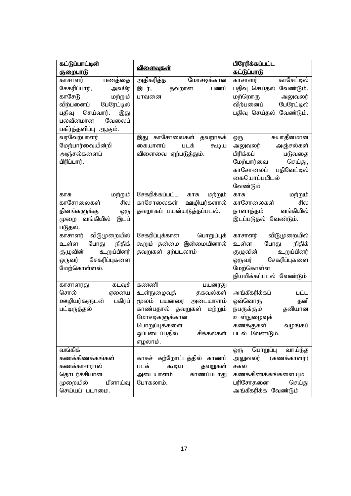| <u>கட்டுப்பாட்டின்</u>                                                                                                                                                |                                                                                                                                                                               | <u>பிரேரிக்கப்பட்ட</u>                                                                                                                           |
|-----------------------------------------------------------------------------------------------------------------------------------------------------------------------|-------------------------------------------------------------------------------------------------------------------------------------------------------------------------------|--------------------------------------------------------------------------------------------------------------------------------------------------|
| குறைபாடு                                                                                                                                                              | <u>விளைவுகள்</u>                                                                                                                                                              | <u>கட்டுப்பாடு</u>                                                                                                                               |
| பணத்தை<br>காசாளர்<br>சேகரிப்பார்,<br>அவரே<br>காசேடு<br>மற்றும்<br>விற்பனைப்<br>பேரேட்டில்<br>பதிவு<br>செய்வார்.<br>இது<br>பலவீனமான<br>வேலைப்<br>பகிர்ந்தளிப்பு ஆகும். | மோசடிக்கான<br>அதிகரித்த<br>இடர்,<br>பணப்<br>தவறான<br>பாவனை                                                                                                                    | காசேட்டில்<br>காசாளர்<br>பதிவு செய்தல்<br>வேண்டும்.<br>மற்றொரு<br>அலுவலர்<br>விற்பனைப்<br>பேரேட்டில்<br>பதிவு செய்தல் வேண்டும்.                  |
| வரவேற்பாளர்<br>மேற்பார்வையின்றி<br>அஞ்சல்களைப்<br>பிரிப்பார்.                                                                                                         | இது காசோலைகள் தவறாகக்<br>கையாளப்<br>படக்<br>கூடிய<br>விளைவை ஏற்படுத்தும்.                                                                                                     | சுயாதீனமான<br>ஒரு<br>அலுவலர்<br>அஞ்சல்கள்<br>பிரிக்கப்<br>படுவதை<br>செய்து,<br>மேற்பார்வை<br>காசோலைப்<br>பதிவேட்டில்<br>கையொப்பமிடல்<br>வேண்டும் |
| மற்றும்<br>காசு<br>சில<br>காசோலைகள்<br>தினங்களுக்கு<br>ஒரு<br>வங்கியில்<br>இடப்<br>முறை<br>படுதல்.                                                                    | சேகரிக்கப்பட்ட<br>மற்றும்<br>காசு<br>ஊழியர்களால்<br>காசோலைகள்<br>தவறாகப் பயன்யடுத்தப்படல்.                                                                                    | காசு<br>மற்றும்<br>காசோலைகள்<br>சில<br>வங்கியில்<br>நாளாந்தம்<br>இடப்படுதல் வேண்டும்.                                                            |
| விடுமுறையில்<br>காசாளர்<br>நிதிக்<br>உள்ள<br>போது<br>உறுப்பினர்<br>குழுவின்<br>சேகரிப்புகளை<br>ஒருவர்<br>மேற்கொள்ளல்.                                                 | சேகரிப்புக்கான பொறுப்புக்<br>கூறும் தன்மை இன்மையினால்<br>தவறுகள் ஏற்படலாம்                                                                                                    | விடுமுறையில்<br>காசாளர்<br>உள்ள<br>போது<br>நிதிக்<br>குழுவின்<br>உறுப்பினர்<br>சேகரிப்புகளை<br>ஒருவர்<br>மேற்கொள்ள<br>நியமிக்கப்படல் வேண்டும்    |
| கடவுச்<br>காசாளரது<br>சொல்<br>ஏனைய<br>பகிரப்<br>ஊழியர்களுடன்<br>பட்டிருத்தல்                                                                                          | கணணி<br>பயனரது<br>உள்நுழைவுத்<br>தகவல்கள்<br>மூலம் பயனரை<br>அடையாளம்<br>காண்பதால் தவறுகள் மற்றும்<br>மோசடிகளுக்கான<br>பொறுப்புக்களை<br>ஒப்படைப்பதில்<br>சிக்கல்கள்<br>எழலாம். | அங்கீகரிக்கப்<br>பட்ட<br>ஒவ்வொரு<br>தனி<br>நபருக்கும்<br>தனியான<br>உள்நுழைவுக்<br>கணக்குகள்<br>வழங்கப்<br>படல் வேண்டும்.                         |
| வங்கிக்<br>கணக்கிணக்கங்கள்<br>கணக்காளரால்<br>தொடர்ச்சியான<br>முறையில்<br>மீளாய்வு<br>செய்யப் படாமை.                                                                   | காசுச் சுற்றோட்டத்தில் காணப்<br>படக்<br>தவறுகள்<br>கூடிய<br>காணப்படாது<br>அடையாளம்<br>போகலாம்.                                                                                | பொறுப்பு<br>வாய்ந்த<br>ஒரு<br>அலுவலர்<br>(கணக்காளர்)<br>சகல<br>கணக்கிணக்கங்களையும்<br>பரிசோதனை<br>செய்து<br>அங்கீகரிக்க வேண்டும்                 |